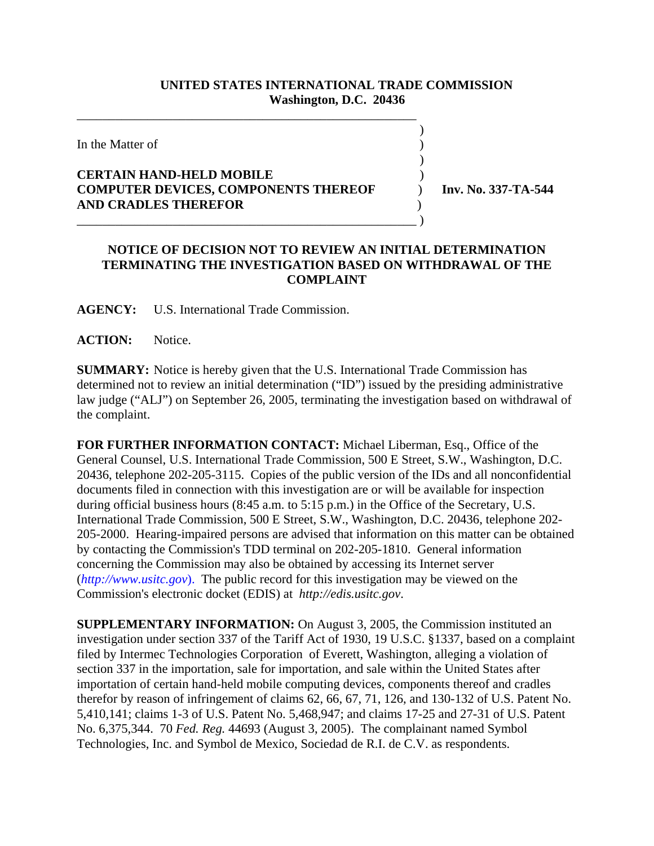## **UNITED STATES INTERNATIONAL TRADE COMMISSION Washington, D.C. 20436**

 $\overline{\phantom{a}}$ 

 $\overline{\phantom{a}}$ 

In the Matter of  $\blacksquare$ 

## **CERTAIN HAND-HELD MOBILE** ) **COMPUTER DEVICES, COMPONENTS THEREOF** ) **Inv. No. 337-TA-544 AND CRADLES THEREFOR** )

\_\_\_\_\_\_\_\_\_\_\_\_\_\_\_\_\_\_\_\_\_\_\_\_\_\_\_\_\_\_\_\_\_\_\_\_\_\_\_\_\_\_\_\_\_\_\_\_\_\_\_\_\_

\_\_\_\_\_\_\_\_\_\_\_\_\_\_\_\_\_\_\_\_\_\_\_\_\_\_\_\_\_\_\_\_\_\_\_\_\_\_\_\_\_\_\_\_\_\_\_\_\_\_\_\_\_ )

## **NOTICE OF DECISION NOT TO REVIEW AN INITIAL DETERMINATION TERMINATING THE INVESTIGATION BASED ON WITHDRAWAL OF THE COMPLAINT**

**AGENCY:** U.S. International Trade Commission.

ACTION: Notice.

**SUMMARY:** Notice is hereby given that the U.S. International Trade Commission has determined not to review an initial determination ("ID") issued by the presiding administrative law judge ("ALJ") on September 26, 2005, terminating the investigation based on withdrawal of the complaint.

**FOR FURTHER INFORMATION CONTACT:** Michael Liberman, Esq., Office of the General Counsel, U.S. International Trade Commission, 500 E Street, S.W., Washington, D.C. 20436, telephone 202-205-3115. Copies of the public version of the IDs and all nonconfidential documents filed in connection with this investigation are or will be available for inspection during official business hours (8:45 a.m. to 5:15 p.m.) in the Office of the Secretary, U.S. International Trade Commission, 500 E Street, S.W., Washington, D.C. 20436, telephone 202- 205-2000. Hearing-impaired persons are advised that information on this matter can be obtained by contacting the Commission's TDD terminal on 202-205-1810. General information concerning the Commission may also be obtained by accessing its Internet server (*http://www.usitc.gov*). The public record for this investigation may be viewed on the Commission's electronic docket (EDIS) at *http://edis.usitc.gov*.

**SUPPLEMENTARY INFORMATION:** On August 3, 2005, the Commission instituted an investigation under section 337 of the Tariff Act of 1930, 19 U.S.C. §1337, based on a complaint filed by Intermec Technologies Corporation of Everett, Washington, alleging a violation of section 337 in the importation, sale for importation, and sale within the United States after importation of certain hand-held mobile computing devices, components thereof and cradles therefor by reason of infringement of claims 62, 66, 67, 71, 126, and 130-132 of U.S. Patent No. 5,410,141; claims 1-3 of U.S. Patent No. 5,468,947; and claims 17-25 and 27-31 of U.S. Patent No. 6,375,344. 70 *Fed. Reg.* 44693 (August 3, 2005). The complainant named Symbol Technologies, Inc. and Symbol de Mexico, Sociedad de R.I. de C.V. as respondents.